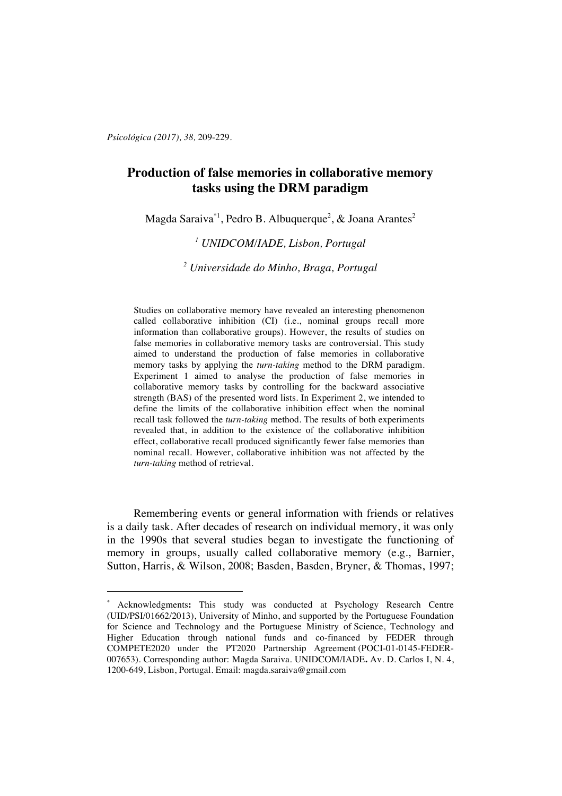*Psicológica (2017), 38,* 209-229.

 $\overline{a}$ 

# **Production of false memories in collaborative memory tasks using the DRM paradigm**

Magda Saraiva $^{\ast1}$ , Pedro B. Albuquerque $^2$ , & Joana Arantes $^2$ 

# *<sup>1</sup> UNIDCOM/IADE, Lisbon, Portugal*

*<sup>2</sup> Universidade do Minho, Braga, Portugal*

Studies on collaborative memory have revealed an interesting phenomenon called collaborative inhibition (CI) (i.e., nominal groups recall more information than collaborative groups). However, the results of studies on false memories in collaborative memory tasks are controversial. This study aimed to understand the production of false memories in collaborative memory tasks by applying the *turn-taking* method to the DRM paradigm. Experiment 1 aimed to analyse the production of false memories in collaborative memory tasks by controlling for the backward associative strength (BAS) of the presented word lists. In Experiment 2, we intended to define the limits of the collaborative inhibition effect when the nominal recall task followed the *turn-taking* method. The results of both experiments revealed that, in addition to the existence of the collaborative inhibition effect, collaborative recall produced significantly fewer false memories than nominal recall. However, collaborative inhibition was not affected by the *turn*-*taking* method of retrieval.

Remembering events or general information with friends or relatives is a daily task. After decades of research on individual memory, it was only in the 1990s that several studies began to investigate the functioning of memory in groups, usually called collaborative memory (e.g., Barnier, Sutton, Harris, & Wilson, 2008; Basden, Basden, Bryner, & Thomas, 1997;

<sup>\*</sup> Acknowledgments**:** This study was conducted at Psychology Research Centre (UID/PSI/01662/2013), University of Minho, and supported by the Portuguese Foundation for Science and Technology and the Portuguese Ministry of Science, Technology and Higher Education through national funds and co-financed by FEDER through COMPETE2020 under the PT2020 Partnership Agreement (POCI-01-0145-FEDER-007653). Corresponding author: Magda Saraiva. UNIDCOM/IADE**.** Av. D. Carlos I, N. 4, 1200-649, Lisbon, Portugal. Email: magda.saraiva@gmail.com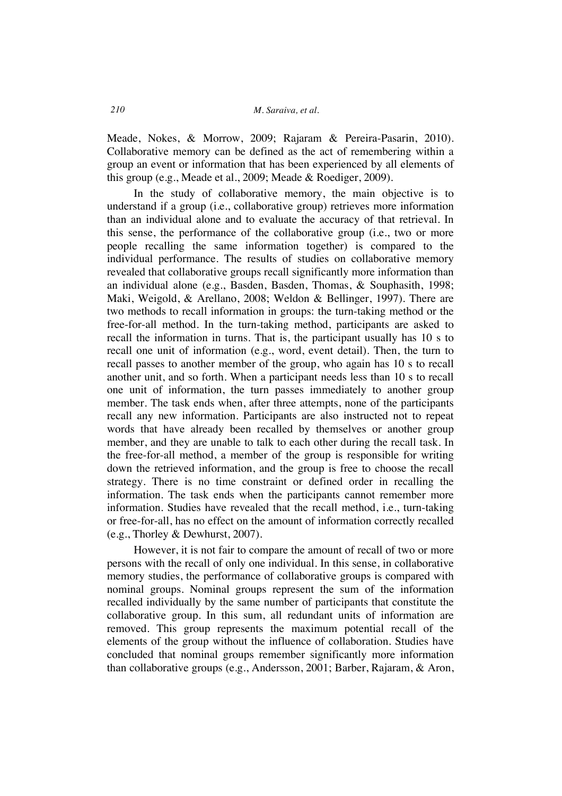Meade, Nokes, & Morrow, 2009; Rajaram & Pereira-Pasarin, 2010). Collaborative memory can be defined as the act of remembering within a group an event or information that has been experienced by all elements of this group (e.g., Meade et al., 2009; Meade & Roediger, 2009).

In the study of collaborative memory, the main objective is to understand if a group (i.e., collaborative group) retrieves more information than an individual alone and to evaluate the accuracy of that retrieval. In this sense, the performance of the collaborative group (i.e., two or more people recalling the same information together) is compared to the individual performance. The results of studies on collaborative memory revealed that collaborative groups recall significantly more information than an individual alone (e.g., Basden, Basden, Thomas, & Souphasith, 1998; Maki, Weigold, & Arellano, 2008; Weldon & Bellinger, 1997). There are two methods to recall information in groups: the turn-taking method or the free-for-all method. In the turn-taking method, participants are asked to recall the information in turns. That is, the participant usually has 10 s to recall one unit of information (e.g., word, event detail). Then, the turn to recall passes to another member of the group, who again has 10 s to recall another unit, and so forth. When a participant needs less than 10 s to recall one unit of information, the turn passes immediately to another group member. The task ends when, after three attempts, none of the participants recall any new information. Participants are also instructed not to repeat words that have already been recalled by themselves or another group member, and they are unable to talk to each other during the recall task. In the free-for-all method, a member of the group is responsible for writing down the retrieved information, and the group is free to choose the recall strategy. There is no time constraint or defined order in recalling the information. The task ends when the participants cannot remember more information. Studies have revealed that the recall method, i.e., turn-taking or free-for-all, has no effect on the amount of information correctly recalled (e.g., Thorley & Dewhurst, 2007).

However, it is not fair to compare the amount of recall of two or more persons with the recall of only one individual. In this sense, in collaborative memory studies, the performance of collaborative groups is compared with nominal groups. Nominal groups represent the sum of the information recalled individually by the same number of participants that constitute the collaborative group. In this sum, all redundant units of information are removed. This group represents the maximum potential recall of the elements of the group without the influence of collaboration. Studies have concluded that nominal groups remember significantly more information than collaborative groups (e.g., Andersson, 2001; Barber, Rajaram, & Aron,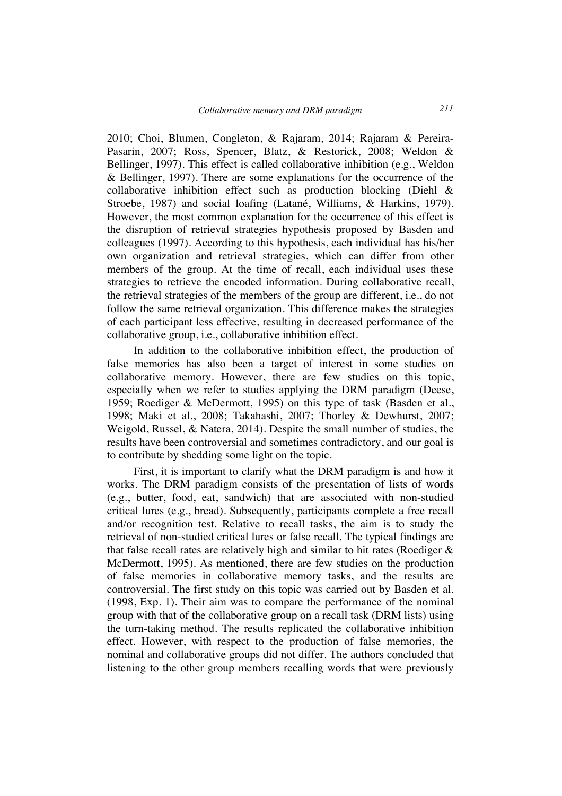2010; Choi, Blumen, Congleton, & Rajaram, 2014; Rajaram & Pereira-Pasarin, 2007; Ross, Spencer, Blatz, & Restorick, 2008; Weldon & Bellinger, 1997). This effect is called collaborative inhibition (e.g., Weldon & Bellinger, 1997). There are some explanations for the occurrence of the collaborative inhibition effect such as production blocking (Diehl & Stroebe, 1987) and social loafing (Latané, Williams, & Harkins, 1979). However, the most common explanation for the occurrence of this effect is the disruption of retrieval strategies hypothesis proposed by Basden and colleagues (1997). According to this hypothesis, each individual has his/her own organization and retrieval strategies, which can differ from other members of the group. At the time of recall, each individual uses these strategies to retrieve the encoded information. During collaborative recall, the retrieval strategies of the members of the group are different, i.e., do not follow the same retrieval organization. This difference makes the strategies of each participant less effective, resulting in decreased performance of the collaborative group, i.e., collaborative inhibition effect.

In addition to the collaborative inhibition effect, the production of false memories has also been a target of interest in some studies on collaborative memory. However, there are few studies on this topic, especially when we refer to studies applying the DRM paradigm (Deese, 1959; Roediger & McDermott, 1995) on this type of task (Basden et al., 1998; Maki et al., 2008; Takahashi, 2007; Thorley & Dewhurst, 2007; Weigold, Russel, & Natera, 2014). Despite the small number of studies, the results have been controversial and sometimes contradictory, and our goal is to contribute by shedding some light on the topic.

First, it is important to clarify what the DRM paradigm is and how it works. The DRM paradigm consists of the presentation of lists of words (e.g., butter, food, eat, sandwich) that are associated with non-studied critical lures (e.g., bread). Subsequently, participants complete a free recall and/or recognition test. Relative to recall tasks, the aim is to study the retrieval of non-studied critical lures or false recall. The typical findings are that false recall rates are relatively high and similar to hit rates (Roediger & McDermott, 1995). As mentioned, there are few studies on the production of false memories in collaborative memory tasks, and the results are controversial. The first study on this topic was carried out by Basden et al. (1998, Exp. 1). Their aim was to compare the performance of the nominal group with that of the collaborative group on a recall task (DRM lists) using the turn-taking method. The results replicated the collaborative inhibition effect. However, with respect to the production of false memories, the nominal and collaborative groups did not differ. The authors concluded that listening to the other group members recalling words that were previously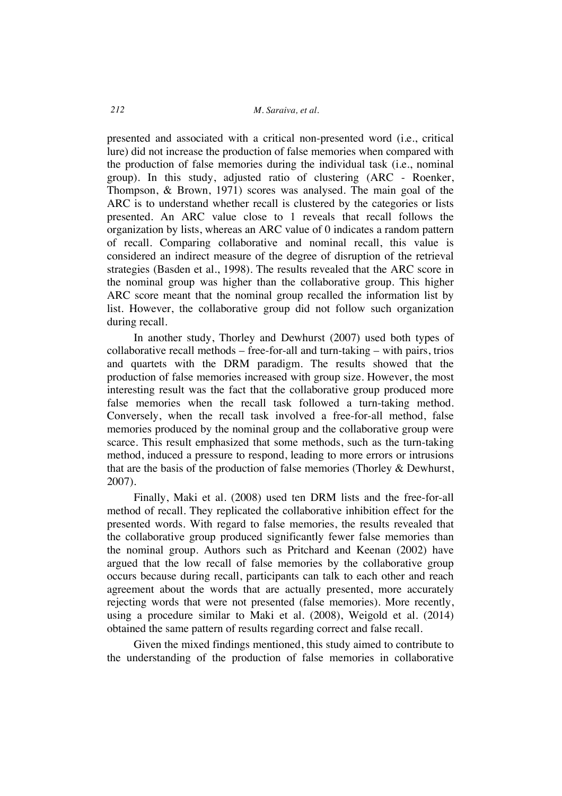presented and associated with a critical non-presented word (i.e., critical lure) did not increase the production of false memories when compared with the production of false memories during the individual task (i.e., nominal group). In this study, adjusted ratio of clustering (ARC - Roenker, Thompson, & Brown, 1971) scores was analysed. The main goal of the ARC is to understand whether recall is clustered by the categories or lists presented. An ARC value close to 1 reveals that recall follows the organization by lists, whereas an ARC value of 0 indicates a random pattern of recall. Comparing collaborative and nominal recall, this value is considered an indirect measure of the degree of disruption of the retrieval strategies (Basden et al., 1998). The results revealed that the ARC score in the nominal group was higher than the collaborative group. This higher ARC score meant that the nominal group recalled the information list by list. However, the collaborative group did not follow such organization during recall.

In another study, Thorley and Dewhurst (2007) used both types of collaborative recall methods – free-for-all and turn-taking – with pairs, trios and quartets with the DRM paradigm. The results showed that the production of false memories increased with group size. However, the most interesting result was the fact that the collaborative group produced more false memories when the recall task followed a turn-taking method. Conversely, when the recall task involved a free-for-all method, false memories produced by the nominal group and the collaborative group were scarce. This result emphasized that some methods, such as the turn-taking method, induced a pressure to respond, leading to more errors or intrusions that are the basis of the production of false memories (Thorley & Dewhurst, 2007).

Finally, Maki et al. (2008) used ten DRM lists and the free-for-all method of recall. They replicated the collaborative inhibition effect for the presented words. With regard to false memories, the results revealed that the collaborative group produced significantly fewer false memories than the nominal group. Authors such as Pritchard and Keenan (2002) have argued that the low recall of false memories by the collaborative group occurs because during recall, participants can talk to each other and reach agreement about the words that are actually presented, more accurately rejecting words that were not presented (false memories). More recently, using a procedure similar to Maki et al. (2008), Weigold et al. (2014) obtained the same pattern of results regarding correct and false recall.

Given the mixed findings mentioned, this study aimed to contribute to the understanding of the production of false memories in collaborative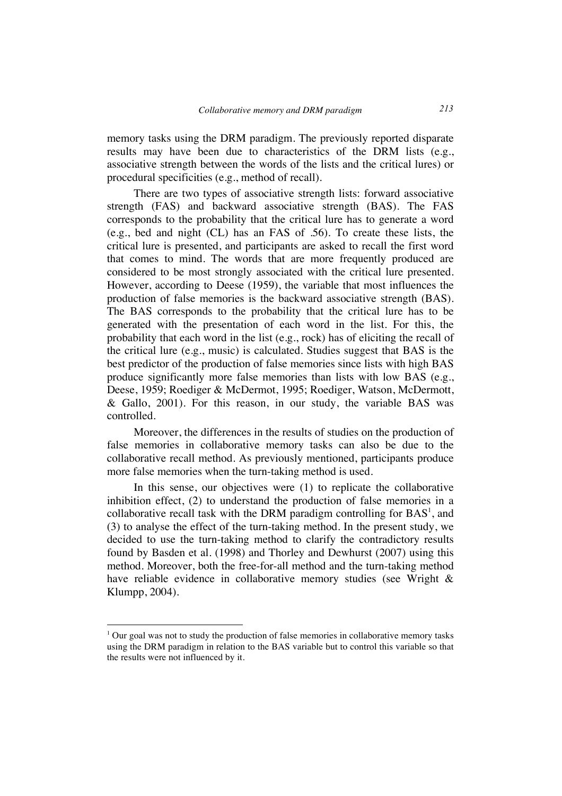memory tasks using the DRM paradigm. The previously reported disparate results may have been due to characteristics of the DRM lists (e.g., associative strength between the words of the lists and the critical lures) or procedural specificities (e.g., method of recall).

There are two types of associative strength lists: forward associative strength (FAS) and backward associative strength (BAS). The FAS corresponds to the probability that the critical lure has to generate a word (e.g., bed and night (CL) has an FAS of .56). To create these lists, the critical lure is presented, and participants are asked to recall the first word that comes to mind. The words that are more frequently produced are considered to be most strongly associated with the critical lure presented. However, according to Deese (1959), the variable that most influences the production of false memories is the backward associative strength (BAS). The BAS corresponds to the probability that the critical lure has to be generated with the presentation of each word in the list. For this, the probability that each word in the list (e.g., rock) has of eliciting the recall of the critical lure (e.g., music) is calculated. Studies suggest that BAS is the best predictor of the production of false memories since lists with high BAS produce significantly more false memories than lists with low BAS (e.g., Deese, 1959; Roediger & McDermot, 1995; Roediger, Watson, McDermott, & Gallo, 2001). For this reason, in our study, the variable BAS was controlled.

Moreover, the differences in the results of studies on the production of false memories in collaborative memory tasks can also be due to the collaborative recall method. As previously mentioned, participants produce more false memories when the turn-taking method is used.

In this sense, our objectives were (1) to replicate the collaborative inhibition effect, (2) to understand the production of false memories in a collaborative recall task with the DRM paradigm controlling for  $BAS<sup>1</sup>$ , and (3) to analyse the effect of the turn-taking method. In the present study, we decided to use the turn-taking method to clarify the contradictory results found by Basden et al. (1998) and Thorley and Dewhurst (2007) using this method. Moreover, both the free-for-all method and the turn-taking method have reliable evidence in collaborative memory studies (see Wright & Klumpp, 2004).

 $\overline{a}$ 

 $1$  Our goal was not to study the production of false memories in collaborative memory tasks using the DRM paradigm in relation to the BAS variable but to control this variable so that the results were not influenced by it.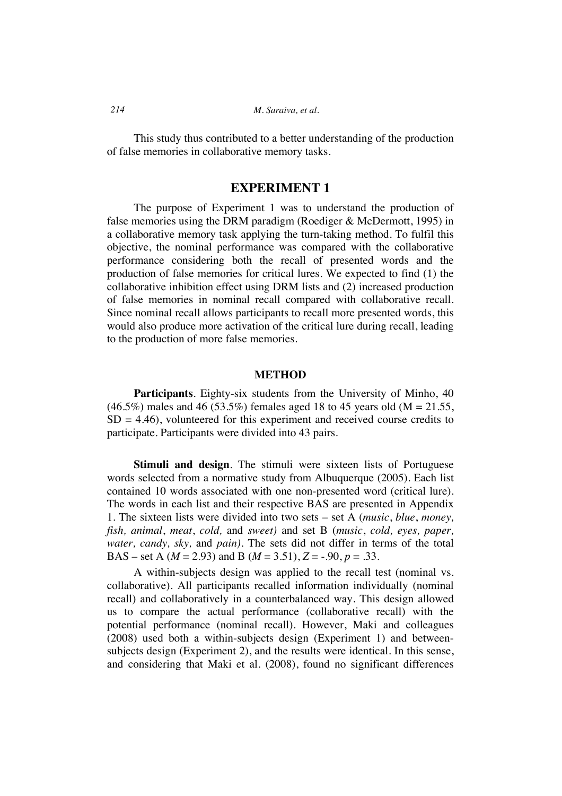This study thus contributed to a better understanding of the production of false memories in collaborative memory tasks.

# **EXPERIMENT 1**

The purpose of Experiment 1 was to understand the production of false memories using the DRM paradigm (Roediger & McDermott, 1995) in a collaborative memory task applying the turn-taking method. To fulfil this objective, the nominal performance was compared with the collaborative performance considering both the recall of presented words and the production of false memories for critical lures. We expected to find (1) the collaborative inhibition effect using DRM lists and (2) increased production of false memories in nominal recall compared with collaborative recall. Since nominal recall allows participants to recall more presented words, this would also produce more activation of the critical lure during recall, leading to the production of more false memories.

### **METHOD**

**Participants**. Eighty-six students from the University of Minho, 40  $(46.5\%)$  males and 46 (53.5%) females aged 18 to 45 years old (M = 21.55,  $SD = 4.46$ , volunteered for this experiment and received course credits to participate. Participants were divided into 43 pairs.

**Stimuli and design**. The stimuli were sixteen lists of Portuguese words selected from a normative study from Albuquerque (2005). Each list contained 10 words associated with one non-presented word (critical lure). The words in each list and their respective BAS are presented in Appendix 1. The sixteen lists were divided into two sets – set A (*music*, *blue*, *money, fish, animal*, *meat*, *cold,* and *sweet)* and set B (*music*, *cold, eyes, paper, water, candy, sky,* and *pain).* The sets did not differ in terms of the total BAS – set A ( $M = 2.93$ ) and B ( $M = 3.51$ ),  $Z = -.90$ ,  $p = .33$ .

A within-subjects design was applied to the recall test (nominal vs. collaborative). All participants recalled information individually (nominal recall) and collaboratively in a counterbalanced way. This design allowed us to compare the actual performance (collaborative recall) with the potential performance (nominal recall). However, Maki and colleagues (2008) used both a within-subjects design (Experiment 1) and betweensubjects design (Experiment 2), and the results were identical. In this sense, and considering that Maki et al. (2008), found no significant differences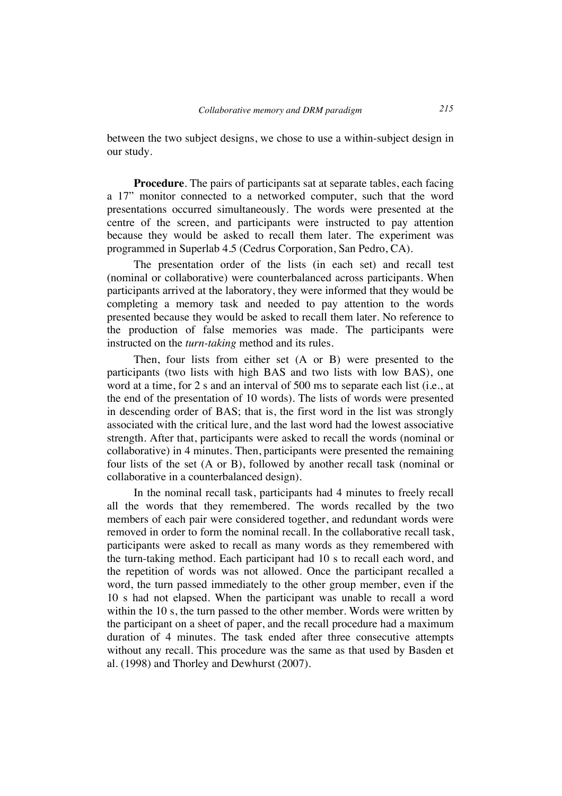between the two subject designs, we chose to use a within-subject design in our study.

**Procedure**. The pairs of participants sat at separate tables, each facing a 17" monitor connected to a networked computer, such that the word presentations occurred simultaneously. The words were presented at the centre of the screen, and participants were instructed to pay attention because they would be asked to recall them later. The experiment was programmed in Superlab 4.5 (Cedrus Corporation, San Pedro, CA).

The presentation order of the lists (in each set) and recall test (nominal or collaborative) were counterbalanced across participants. When participants arrived at the laboratory, they were informed that they would be completing a memory task and needed to pay attention to the words presented because they would be asked to recall them later. No reference to the production of false memories was made. The participants were instructed on the *turn-taking* method and its rules.

Then, four lists from either set (A or B) were presented to the participants (two lists with high BAS and two lists with low BAS), one word at a time, for 2 s and an interval of 500 ms to separate each list (i.e., at the end of the presentation of 10 words). The lists of words were presented in descending order of BAS; that is, the first word in the list was strongly associated with the critical lure, and the last word had the lowest associative strength. After that, participants were asked to recall the words (nominal or collaborative) in 4 minutes. Then, participants were presented the remaining four lists of the set (A or B), followed by another recall task (nominal or collaborative in a counterbalanced design).

In the nominal recall task, participants had 4 minutes to freely recall all the words that they remembered. The words recalled by the two members of each pair were considered together, and redundant words were removed in order to form the nominal recall. In the collaborative recall task, participants were asked to recall as many words as they remembered with the turn-taking method. Each participant had 10 s to recall each word, and the repetition of words was not allowed. Once the participant recalled a word, the turn passed immediately to the other group member, even if the 10 s had not elapsed. When the participant was unable to recall a word within the 10 s, the turn passed to the other member. Words were written by the participant on a sheet of paper, and the recall procedure had a maximum duration of 4 minutes. The task ended after three consecutive attempts without any recall. This procedure was the same as that used by Basden et al. (1998) and Thorley and Dewhurst (2007).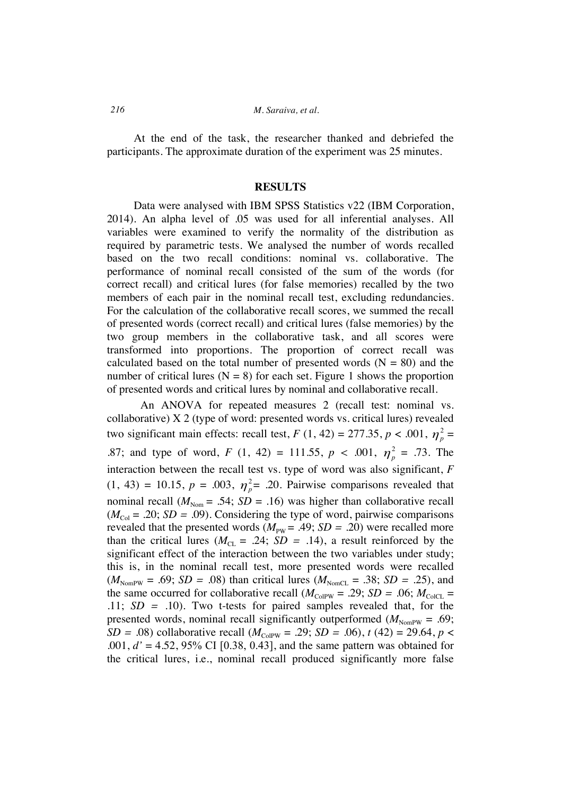At the end of the task, the researcher thanked and debriefed the participants. The approximate duration of the experiment was 25 minutes.

## **RESULTS**

Data were analysed with IBM SPSS Statistics v22 (IBM Corporation, 2014). An alpha level of .05 was used for all inferential analyses. All variables were examined to verify the normality of the distribution as required by parametric tests. We analysed the number of words recalled based on the two recall conditions: nominal vs. collaborative. The performance of nominal recall consisted of the sum of the words (for correct recall) and critical lures (for false memories) recalled by the two members of each pair in the nominal recall test, excluding redundancies. For the calculation of the collaborative recall scores, we summed the recall of presented words (correct recall) and critical lures (false memories) by the two group members in the collaborative task, and all scores were transformed into proportions. The proportion of correct recall was calculated based on the total number of presented words  $(N = 80)$  and the number of critical lures ( $N = 8$ ) for each set. Figure 1 shows the proportion of presented words and critical lures by nominal and collaborative recall.

An ANOVA for repeated measures 2 (recall test: nominal vs. collaborative) X 2 (type of word: presented words vs. critical lures) revealed two significant main effects: recall test,  $F(1, 42) = 277.35, p < .001, \eta_p^2 =$ .87; and type of word,  $F(1, 42) = 111.55$ ,  $p < .001$ ,  $\eta_p^2 = .73$ . The interaction between the recall test vs. type of word was also significant, *F*  $(1, 43) = 10.15, p = .003, \eta_{p}^{2} = .20$ . Pairwise comparisons revealed that nominal recall ( $M_{\text{Nom}}$  = .54; *SD* = .16) was higher than collaborative recall  $(M_{\text{Col}} = .20; SD = .09)$ . Considering the type of word, pairwise comparisons revealed that the presented words  $(M_{\text{PW}} = .49; SD = .20)$  were recalled more than the critical lures ( $M_{CL} = .24$ ;  $SD = .14$ ), a result reinforced by the significant effect of the interaction between the two variables under study; this is, in the nominal recall test, more presented words were recalled  $(M_{\text{NonPW}} = .69; SD = .08)$  than critical lures  $(M_{\text{NonCL}} = .38; SD = .25)$ , and the same occurred for collaborative recall  $(M_{\text{CoIPW}} = .29; SD = .06; M_{\text{CoICL}} =$ .11; *SD =* .10). Two t-tests for paired samples revealed that, for the presented words, nominal recall significantly outperformed  $(M_{\text{NormPW}} = .69)$ ; *SD* = .08) collaborative recall  $(M_{\text{CoIPW}} = .29; SD = .06)$ ,  $t(42) = 29.64$ ,  $p <$ .001, *d'* = 4.52, 95% CI [0.38, 0.43], and the same pattern was obtained for the critical lures, i.e., nominal recall produced significantly more false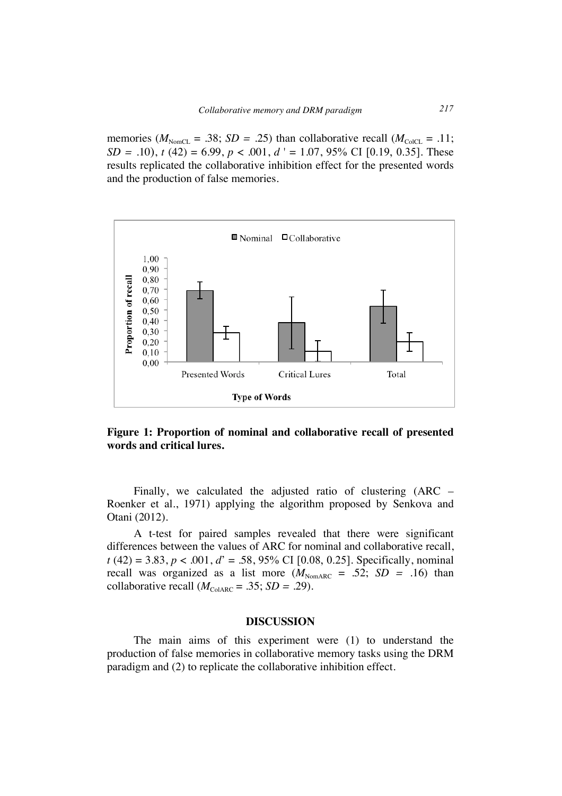memories ( $M_{\text{NonCL}} = .38$ ; *SD = .25*) than collaborative recall ( $M_{\text{CoICL}} = .11$ ; *SD* = .10),  $t(42) = 6.99$ ,  $p < .001$ ,  $d' = 1.07$ , 95% CI [0.19, 0.35]. These results replicated the collaborative inhibition effect for the presented words and the production of false memories.



**Figure 1: Proportion of nominal and collaborative recall of presented words and critical lures.**

Finally, we calculated the adjusted ratio of clustering (ARC – Roenker et al., 1971) applying the algorithm proposed by Senkova and Otani (2012).

A t-test for paired samples revealed that there were significant differences between the values of ARC for nominal and collaborative recall, *t* (42) = 3.83, *p* < .001, *d*' = .58, 95% CI [0.08, 0.25]. Specifically, nominal recall was organized as a list more  $(M_{\text{NonARC}} = .52; SD = .16)$  than collaborative recall  $(M_{\text{ColARC}} = .35; SD = .29)$ .

### **DISCUSSION**

The main aims of this experiment were (1) to understand the production of false memories in collaborative memory tasks using the DRM paradigm and (2) to replicate the collaborative inhibition effect.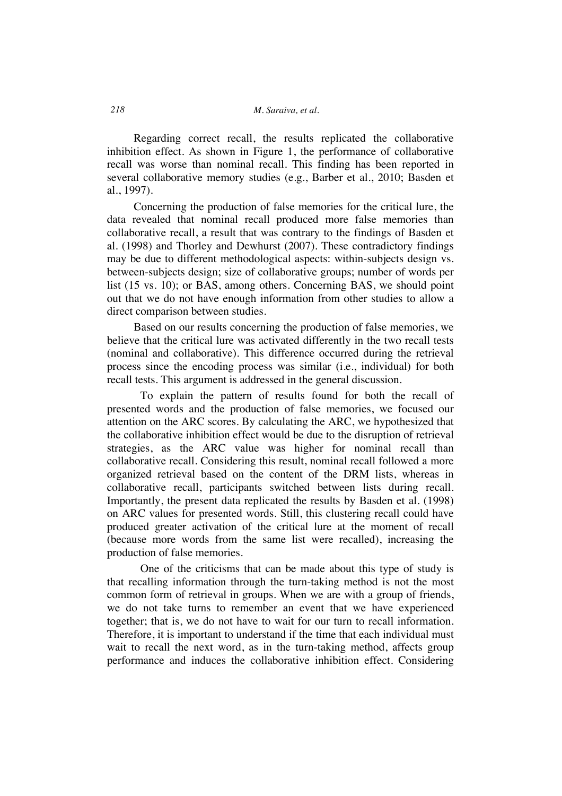Regarding correct recall, the results replicated the collaborative inhibition effect. As shown in Figure 1, the performance of collaborative recall was worse than nominal recall. This finding has been reported in several collaborative memory studies (e.g., Barber et al., 2010; Basden et al., 1997).

Concerning the production of false memories for the critical lure, the data revealed that nominal recall produced more false memories than collaborative recall, a result that was contrary to the findings of Basden et al. (1998) and Thorley and Dewhurst (2007). These contradictory findings may be due to different methodological aspects: within-subjects design vs. between-subjects design; size of collaborative groups; number of words per list (15 vs. 10); or BAS, among others. Concerning BAS, we should point out that we do not have enough information from other studies to allow a direct comparison between studies.

Based on our results concerning the production of false memories, we believe that the critical lure was activated differently in the two recall tests (nominal and collaborative). This difference occurred during the retrieval process since the encoding process was similar (i.e., individual) for both recall tests. This argument is addressed in the general discussion.

To explain the pattern of results found for both the recall of presented words and the production of false memories, we focused our attention on the ARC scores. By calculating the ARC, we hypothesized that the collaborative inhibition effect would be due to the disruption of retrieval strategies, as the ARC value was higher for nominal recall than collaborative recall. Considering this result, nominal recall followed a more organized retrieval based on the content of the DRM lists, whereas in collaborative recall, participants switched between lists during recall. Importantly, the present data replicated the results by Basden et al. (1998) on ARC values for presented words. Still, this clustering recall could have produced greater activation of the critical lure at the moment of recall (because more words from the same list were recalled), increasing the production of false memories.

One of the criticisms that can be made about this type of study is that recalling information through the turn-taking method is not the most common form of retrieval in groups. When we are with a group of friends, we do not take turns to remember an event that we have experienced together; that is, we do not have to wait for our turn to recall information. Therefore, it is important to understand if the time that each individual must wait to recall the next word, as in the turn-taking method, affects group performance and induces the collaborative inhibition effect. Considering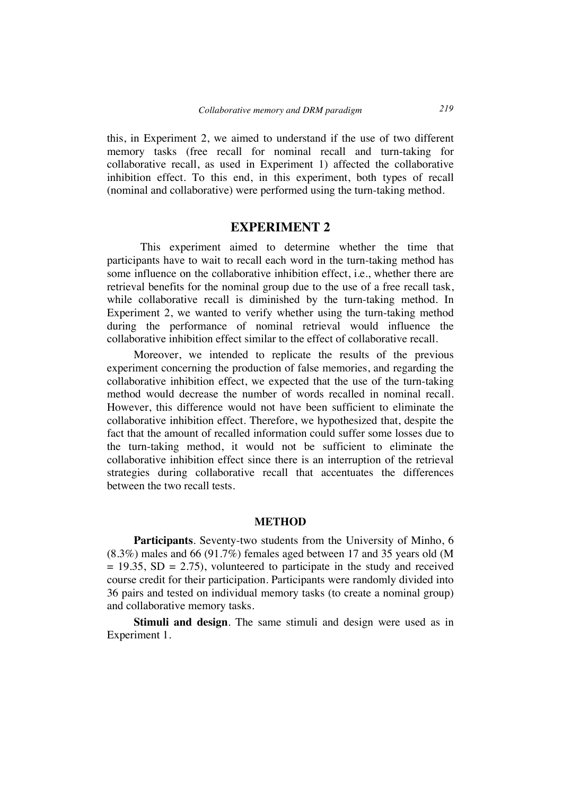this, in Experiment 2, we aimed to understand if the use of two different memory tasks (free recall for nominal recall and turn-taking for collaborative recall, as used in Experiment 1) affected the collaborative inhibition effect. To this end, in this experiment, both types of recall (nominal and collaborative) were performed using the turn-taking method.

# **EXPERIMENT 2**

This experiment aimed to determine whether the time that participants have to wait to recall each word in the turn-taking method has some influence on the collaborative inhibition effect, i.e., whether there are retrieval benefits for the nominal group due to the use of a free recall task, while collaborative recall is diminished by the turn-taking method. In Experiment 2, we wanted to verify whether using the turn-taking method during the performance of nominal retrieval would influence the collaborative inhibition effect similar to the effect of collaborative recall.

Moreover, we intended to replicate the results of the previous experiment concerning the production of false memories, and regarding the collaborative inhibition effect, we expected that the use of the turn-taking method would decrease the number of words recalled in nominal recall. However, this difference would not have been sufficient to eliminate the collaborative inhibition effect. Therefore, we hypothesized that, despite the fact that the amount of recalled information could suffer some losses due to the turn-taking method, it would not be sufficient to eliminate the collaborative inhibition effect since there is an interruption of the retrieval strategies during collaborative recall that accentuates the differences between the two recall tests.

# **METHOD**

**Participants**. Seventy-two students from the University of Minho, 6 (8.3%) males and 66 (91.7%) females aged between 17 and 35 years old (M  $= 19.35$ , SD  $= 2.75$ ), volunteered to participate in the study and received course credit for their participation. Participants were randomly divided into 36 pairs and tested on individual memory tasks (to create a nominal group) and collaborative memory tasks.

**Stimuli and design**. The same stimuli and design were used as in Experiment 1.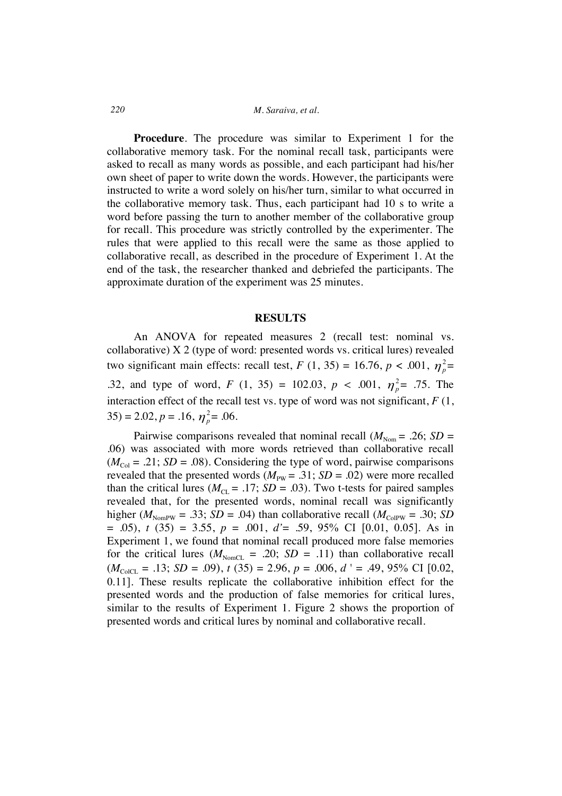### *220 M. Saraiva, et al.*

**Procedure**. The procedure was similar to Experiment 1 for the collaborative memory task. For the nominal recall task, participants were asked to recall as many words as possible, and each participant had his/her own sheet of paper to write down the words. However, the participants were instructed to write a word solely on his/her turn, similar to what occurred in the collaborative memory task. Thus, each participant had 10 s to write a word before passing the turn to another member of the collaborative group for recall. This procedure was strictly controlled by the experimenter. The rules that were applied to this recall were the same as those applied to collaborative recall, as described in the procedure of Experiment 1. At the end of the task, the researcher thanked and debriefed the participants. The approximate duration of the experiment was 25 minutes.

# **RESULTS**

An ANOVA for repeated measures 2 (recall test: nominal vs. collaborative) X 2 (type of word: presented words vs. critical lures) revealed two significant main effects: recall test,  $F(1, 35) = 16.76$ ,  $p < .001$ ,  $\eta_p^2 =$ .32, and type of word,  $F(1, 35) = 102.03$ ,  $p < .001$ ,  $\eta_p^2 = .75$ . The interaction effect of the recall test vs. type of word was not significant,  $F(1, \theta)$  $35$ ) = 2.02,  $p = .16$ ,  $\eta_p^2 = .06$ .

Pairwise comparisons revealed that nominal recall  $(M_{\text{Norm}} = .26; SD =$ .06) was associated with more words retrieved than collaborative recall  $(M_{\text{Col}} = .21; SD = .08)$ . Considering the type of word, pairwise comparisons revealed that the presented words ( $M_{\text{PW}}$  = .31; *SD* = .02) were more recalled than the critical lures ( $M_{CL}$  = .17; *SD* = .03). Two t-tests for paired samples revealed that, for the presented words, nominal recall was significantly higher ( $M_{\text{NormPW}} = .33$ ; *SD* = .04) than collaborative recall ( $M_{\text{CoIPW}} = .30$ ; *SD* = .05), *t* (35) = 3.55, *p* = .001, *d'*= .59, 95% CI [0.01, 0.05]. As in Experiment 1, we found that nominal recall produced more false memories for the critical lures ( $M_{\text{NonCL}} = .20$ ;  $SD = .11$ ) than collaborative recall  $(M_{\text{CoICL}} = .13; SD = .09), t (35) = 2.96, p = .006, d' = .49, 95\% \text{ CI } [0.02,$ 0.11]. These results replicate the collaborative inhibition effect for the presented words and the production of false memories for critical lures, similar to the results of Experiment 1. Figure 2 shows the proportion of presented words and critical lures by nominal and collaborative recall.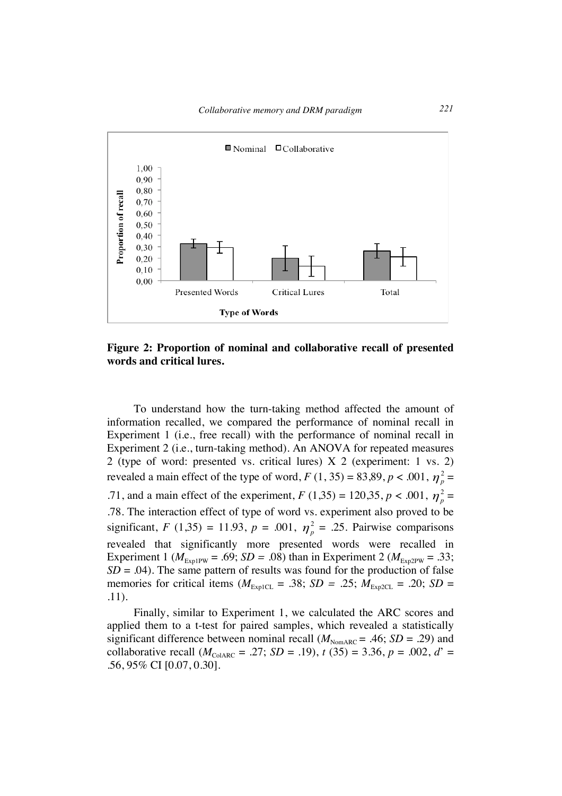

**Figure 2: Proportion of nominal and collaborative recall of presented words and critical lures.**

To understand how the turn-taking method affected the amount of information recalled, we compared the performance of nominal recall in Experiment 1 (i.e., free recall) with the performance of nominal recall in Experiment 2 (i.e., turn-taking method). An ANOVA for repeated measures 2 (type of word: presented vs. critical lures) X 2 (experiment: 1 vs. 2) revealed a main effect of the type of word,  $F(1, 35) = 83,89, p < .001, \eta_p^2 =$ .71, and a main effect of the experiment,  $F(1,35) = 120,35, p < .001, \eta_p^2 =$ .78. The interaction effect of type of word vs. experiment also proved to be significant, *F* (1,35) = 11.93, *p* = .001,  $\eta_p^2$  = .25. Pairwise comparisons revealed that significantly more presented words were recalled in Experiment 1 ( $M_{\text{ExplPW}} = .69$ ; *SD* = .08) than in Experiment 2 ( $M_{\text{ExplPW}} = .33$ ;  $SD = .04$ ). The same pattern of results was found for the production of false memories for critical items ( $M_{\text{ExplCL}} = .38$ ; *SD = .25*;  $M_{\text{ExplCL}} = .20$ ; *SD =* .11).

Finally, similar to Experiment 1, we calculated the ARC scores and applied them to a t-test for paired samples, which revealed a statistically significant difference between nominal recall  $(M_{\text{NonARC}} = .46; SD = .29)$  and collaborative recall ( $M_{\text{CoIARC}} = .27$ ; *SD* = .19),  $t(35) = 3.36$ ,  $p = .002$ ,  $d' =$ .56, 95% CI [0.07, 0.30].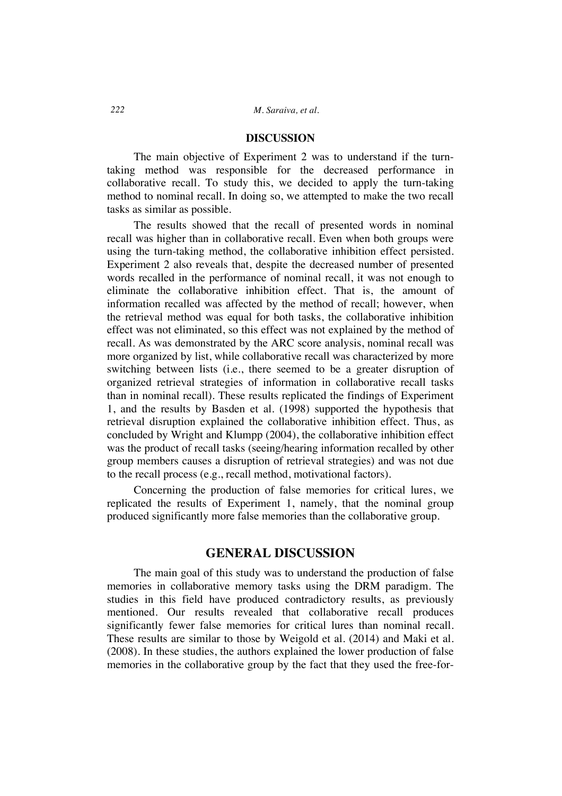#### **DISCUSSION**

The main objective of Experiment 2 was to understand if the turntaking method was responsible for the decreased performance in collaborative recall. To study this, we decided to apply the turn-taking method to nominal recall. In doing so, we attempted to make the two recall tasks as similar as possible.

The results showed that the recall of presented words in nominal recall was higher than in collaborative recall. Even when both groups were using the turn-taking method, the collaborative inhibition effect persisted. Experiment 2 also reveals that, despite the decreased number of presented words recalled in the performance of nominal recall, it was not enough to eliminate the collaborative inhibition effect. That is, the amount of information recalled was affected by the method of recall; however, when the retrieval method was equal for both tasks, the collaborative inhibition effect was not eliminated, so this effect was not explained by the method of recall. As was demonstrated by the ARC score analysis, nominal recall was more organized by list, while collaborative recall was characterized by more switching between lists (i.e., there seemed to be a greater disruption of organized retrieval strategies of information in collaborative recall tasks than in nominal recall). These results replicated the findings of Experiment 1, and the results by Basden et al. (1998) supported the hypothesis that retrieval disruption explained the collaborative inhibition effect. Thus, as concluded by Wright and Klumpp (2004), the collaborative inhibition effect was the product of recall tasks (seeing/hearing information recalled by other group members causes a disruption of retrieval strategies) and was not due to the recall process (e.g., recall method, motivational factors).

Concerning the production of false memories for critical lures, we replicated the results of Experiment 1, namely, that the nominal group produced significantly more false memories than the collaborative group.

# **GENERAL DISCUSSION**

The main goal of this study was to understand the production of false memories in collaborative memory tasks using the DRM paradigm. The studies in this field have produced contradictory results, as previously mentioned. Our results revealed that collaborative recall produces significantly fewer false memories for critical lures than nominal recall. These results are similar to those by Weigold et al. (2014) and Maki et al. (2008). In these studies, the authors explained the lower production of false memories in the collaborative group by the fact that they used the free-for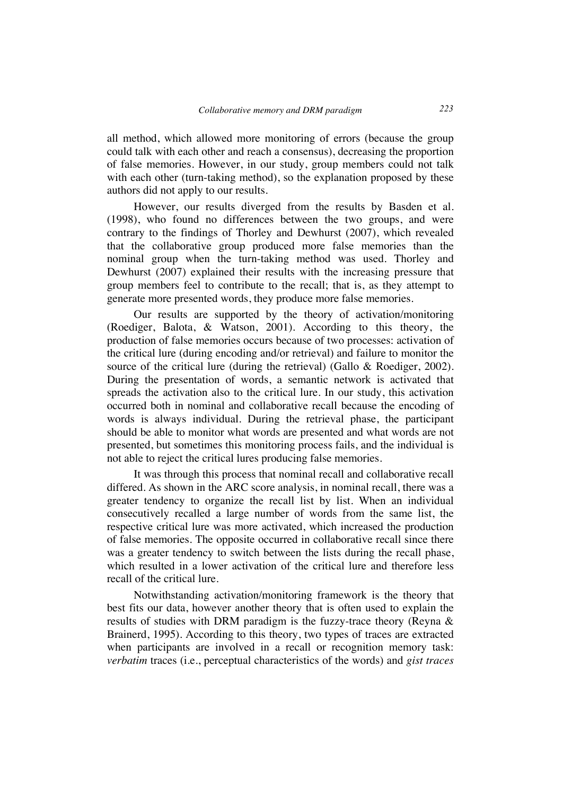all method, which allowed more monitoring of errors (because the group could talk with each other and reach a consensus), decreasing the proportion of false memories. However, in our study, group members could not talk with each other (turn-taking method), so the explanation proposed by these authors did not apply to our results.

However, our results diverged from the results by Basden et al. (1998), who found no differences between the two groups, and were contrary to the findings of Thorley and Dewhurst (2007), which revealed that the collaborative group produced more false memories than the nominal group when the turn-taking method was used. Thorley and Dewhurst (2007) explained their results with the increasing pressure that group members feel to contribute to the recall; that is, as they attempt to generate more presented words, they produce more false memories.

Our results are supported by the theory of activation/monitoring (Roediger, Balota, & Watson, 2001). According to this theory, the production of false memories occurs because of two processes: activation of the critical lure (during encoding and/or retrieval) and failure to monitor the source of the critical lure (during the retrieval) (Gallo & Roediger, 2002). During the presentation of words, a semantic network is activated that spreads the activation also to the critical lure. In our study, this activation occurred both in nominal and collaborative recall because the encoding of words is always individual. During the retrieval phase, the participant should be able to monitor what words are presented and what words are not presented, but sometimes this monitoring process fails, and the individual is not able to reject the critical lures producing false memories.

It was through this process that nominal recall and collaborative recall differed. As shown in the ARC score analysis, in nominal recall, there was a greater tendency to organize the recall list by list. When an individual consecutively recalled a large number of words from the same list, the respective critical lure was more activated, which increased the production of false memories. The opposite occurred in collaborative recall since there was a greater tendency to switch between the lists during the recall phase, which resulted in a lower activation of the critical lure and therefore less recall of the critical lure.

Notwithstanding activation/monitoring framework is the theory that best fits our data, however another theory that is often used to explain the results of studies with DRM paradigm is the fuzzy-trace theory (Reyna & Brainerd, 1995). According to this theory, two types of traces are extracted when participants are involved in a recall or recognition memory task: *verbatim* traces (i.e., perceptual characteristics of the words) and *gist traces*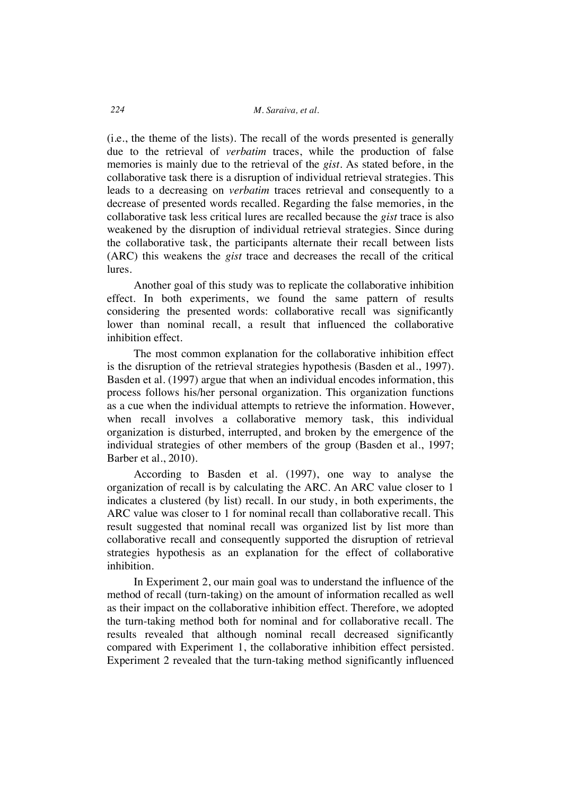(i.e., the theme of the lists). The recall of the words presented is generally due to the retrieval of *verbatim* traces, while the production of false memories is mainly due to the retrieval of the *gist*. As stated before, in the collaborative task there is a disruption of individual retrieval strategies. This leads to a decreasing on *verbatim* traces retrieval and consequently to a decrease of presented words recalled. Regarding the false memories, in the collaborative task less critical lures are recalled because the *gist* trace is also weakened by the disruption of individual retrieval strategies. Since during the collaborative task, the participants alternate their recall between lists (ARC) this weakens the *gist* trace and decreases the recall of the critical lures.

Another goal of this study was to replicate the collaborative inhibition effect. In both experiments, we found the same pattern of results considering the presented words: collaborative recall was significantly lower than nominal recall, a result that influenced the collaborative inhibition effect.

The most common explanation for the collaborative inhibition effect is the disruption of the retrieval strategies hypothesis (Basden et al., 1997). Basden et al. (1997) argue that when an individual encodes information, this process follows his/her personal organization. This organization functions as a cue when the individual attempts to retrieve the information. However, when recall involves a collaborative memory task, this individual organization is disturbed, interrupted, and broken by the emergence of the individual strategies of other members of the group (Basden et al., 1997; Barber et al., 2010).

According to Basden et al. (1997), one way to analyse the organization of recall is by calculating the ARC. An ARC value closer to 1 indicates a clustered (by list) recall. In our study, in both experiments, the ARC value was closer to 1 for nominal recall than collaborative recall. This result suggested that nominal recall was organized list by list more than collaborative recall and consequently supported the disruption of retrieval strategies hypothesis as an explanation for the effect of collaborative inhibition.

In Experiment 2, our main goal was to understand the influence of the method of recall (turn-taking) on the amount of information recalled as well as their impact on the collaborative inhibition effect. Therefore, we adopted the turn-taking method both for nominal and for collaborative recall. The results revealed that although nominal recall decreased significantly compared with Experiment 1, the collaborative inhibition effect persisted. Experiment 2 revealed that the turn-taking method significantly influenced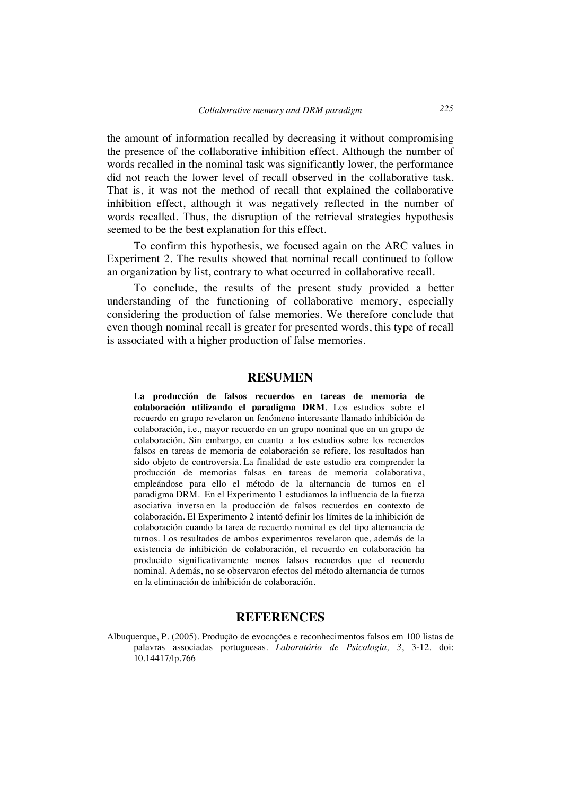the amount of information recalled by decreasing it without compromising the presence of the collaborative inhibition effect. Although the number of words recalled in the nominal task was significantly lower, the performance did not reach the lower level of recall observed in the collaborative task. That is, it was not the method of recall that explained the collaborative inhibition effect, although it was negatively reflected in the number of words recalled. Thus, the disruption of the retrieval strategies hypothesis seemed to be the best explanation for this effect.

To confirm this hypothesis, we focused again on the ARC values in Experiment 2. The results showed that nominal recall continued to follow an organization by list, contrary to what occurred in collaborative recall.

To conclude, the results of the present study provided a better understanding of the functioning of collaborative memory, especially considering the production of false memories. We therefore conclude that even though nominal recall is greater for presented words, this type of recall is associated with a higher production of false memories.

# **RESUMEN**

**La producción de falsos recuerdos en tareas de memoria de colaboración utilizando el paradigma DRM**. Los estudios sobre el recuerdo en grupo revelaron un fenómeno interesante llamado inhibición de colaboración, i.e., mayor recuerdo en un grupo nominal que en un grupo de colaboración. Sin embargo, en cuanto a los estudios sobre los recuerdos falsos en tareas de memoria de colaboración se refiere, los resultados han sido objeto de controversia. La finalidad de este estudio era comprender la producción de memorias falsas en tareas de memoria colaborativa, empleándose para ello el método de la alternancia de turnos en el paradigma DRM. En el Experimento 1 estudiamos la influencia de la fuerza asociativa inversa en la producción de falsos recuerdos en contexto de colaboración. El Experimento 2 intentó definir los límites de la inhibición de colaboración cuando la tarea de recuerdo nominal es del tipo alternancia de turnos. Los resultados de ambos experimentos revelaron que, además de la existencia de inhibición de colaboración, el recuerdo en colaboración ha producido significativamente menos falsos recuerdos que el recuerdo nominal. Además, no se observaron efectos del método alternancia de turnos en la eliminación de inhibición de colaboración.

# **REFERENCES**

Albuquerque, P. (2005). Produção de evocações e reconhecimentos falsos em 100 listas de palavras associadas portuguesas. *Laboratório de Psicologia, 3*, 3-12. doi: 10.14417/lp.766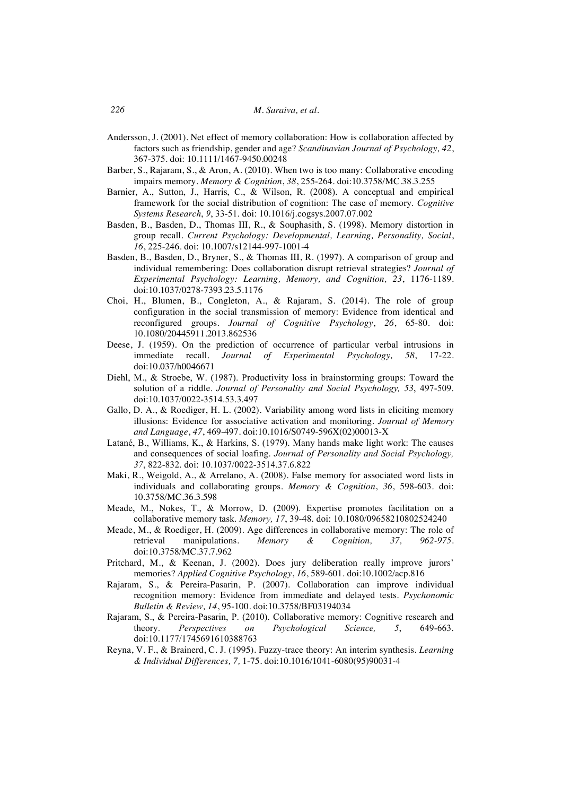- Andersson, J. (2001). Net effect of memory collaboration: How is collaboration affected by factors such as friendship, gender and age? *Scandinavian Journal of Psychology, 42*, 367-375. doi: 10.1111/1467-9450.00248
- Barber, S., Rajaram, S., & Aron, A. (2010). When two is too many: Collaborative encoding impairs memory. *Memory & Cognition*, *38*, 255-264. doi:10.3758/MC.38.3.255
- Barnier, A., Sutton, J., Harris, C., & Wilson, R. (2008). A conceptual and empirical framework for the social distribution of cognition: The case of memory. *Cognitive Systems Research*, *9*, 33-51. doi: 10.1016/j.cogsys.2007.07.002
- Basden, B., Basden, D., Thomas III, R., & Souphasith, S. (1998). Memory distortion in group recall. *Current Psychology: Developmental, Learning, Personality, Social*, *16*, 225-246. doi: 10.1007/s12144-997-1001-4
- Basden, B., Basden, D., Bryner, S., & Thomas III, R. (1997). A comparison of group and individual remembering: Does collaboration disrupt retrieval strategies? *Journal of Experimental Psychology: Learning, Memory, and Cognition, 23*, 1176-1189. doi:10.1037/0278-7393.23.5.1176
- Choi, H., Blumen, B., Congleton, A., & Rajaram, S. (2014). The role of group configuration in the social transmission of memory: Evidence from identical and reconfigured groups. *Journal of Cognitive Psychology*, *26*, 65-80. doi: 10.1080/20445911.2013.862536
- Deese, J. (1959). On the prediction of occurrence of particular verbal intrusions in immediate recall. *Journal of Experimental Psychology, 58*, 17-22. doi:10.037/h0046671
- Diehl, M., & Stroebe, W. (1987). Productivity loss in brainstorming groups: Toward the solution of a riddle. *Journal of Personality and Social Psychology, 53*, 497-509. doi:10.1037/0022-3514.53.3.497
- Gallo, D. A., & Roediger, H. L. (2002). Variability among word lists in eliciting memory illusions: Evidence for associative activation and monitoring. *Journal of Memory and Language*, *47*, 469-497. doi:10.1016/S0749-596X(02)00013-X
- Latané, B., Williams, K., & Harkins, S. (1979). Many hands make light work: The causes and consequences of social loafing. *Journal of Personality and Social Psychology, 37*, 822-832. doi: 10.1037/0022-3514.37.6.822
- Maki, R., Weigold, A., & Arrelano, A. (2008). False memory for associated word lists in individuals and collaborating groups. *Memory & Cognition*, *36*, 598-603. doi: 10.3758/MC.36.3.598
- Meade, M., Nokes, T., & Morrow, D. (2009). Expertise promotes facilitation on a collaborative memory task. *Memory, 17*, 39-48. doi: 10.1080/09658210802524240
- Meade, M., & Roediger, H. (2009). Age differences in collaborative memory: The role of retrieval manipulations. *Memory & Cognition, 37, 962-975*. doi:10.3758/MC.37.7.962
- Pritchard, M., & Keenan, J. (2002). Does jury deliberation really improve jurors' memories? *Applied Cognitive Psychology*, *16*, 589-601. doi:10.1002/acp.816
- Rajaram, S., & Pereira-Pasarin, P. (2007). Collaboration can improve individual recognition memory: Evidence from immediate and delayed tests. *Psychonomic Bulletin & Review, 14*, 95-100. doi:10.3758/BF03194034
- Rajaram, S., & Pereira-Pasarin, P. (2010). Collaborative memory: Cognitive research and theory. *Perspectives on Psychological Science, 5*, 649-663. doi:10.1177/1745691610388763
- Reyna, V. F., & Brainerd, C. J. (1995). Fuzzy-trace theory: An interim synthesis. *Learning & Individual Differences, 7,* 1-75. doi:10.1016/1041-6080(95)90031-4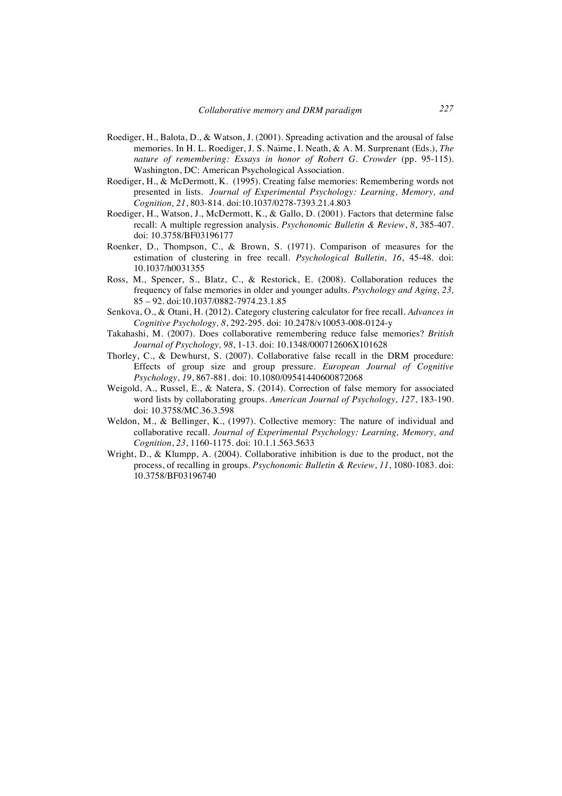- Roediger, H., Balota, D., & Watson, J. (2001). Spreading activation and the arousal of false memories. In H. L. Roediger, J. S. Nairne, I. Neath, & A. M. Surprenant (Eds.), *The nature of remembering: Essays in honor of Robert G. Crowder* (pp. 95-115). Washington, DC: American Psychological Association.
- Roediger, H., & McDermott, K. (1995). Creating false memories: Remembering words not presented in lists. *Journal of Experimental Psychology: Learning, Memory, and Cognition, 21*, 803-814*.* doi:10.1037/0278-7393.21.4.803
- Roediger, H., Watson, J., McDermott, K., & Gallo, D. (2001). Factors that determine false recall: A multiple regression analysis. *Psychonomic Bulletin & Review*, *8*, 385-407. doi: 10.3758/BF03196177
- Roenker, D., Thompson, C., & Brown, S. (1971). Comparison of measures for the estimation of clustering in free recall. *Psychological Bulletin, 16*, 45-48. doi: 10.1037/h0031355
- Ross, M., Spencer, S., Blatz, C., & Restorick, E. (2008). Collaboration reduces the frequency of false memories in older and younger adults. *Psychology and Aging, 23,*  85 – 92. doi:10.1037/0882-7974.23.1.85
- Senkova, O., & Otani, H. (2012). Category clustering calculator for free recall. *Advances in Cognitive Psychology, 8*, 292-295. doi: 10.2478/v10053-008-0124-y
- Takahashi, M. (2007). Does collaborative remembering reduce false memories? *British Journal of Psychology, 98*, 1-13. doi: 10.1348/000712606X101628
- Thorley, C., & Dewhurst, S. (2007). Collaborative false recall in the DRM procedure: Effects of group size and group pressure. *European Journal of Cognitive Psychology*, *19*, 867-881. doi: 10.1080/09541440600872068
- Weigold, A., Russel, E., & Natera, S. (2014). Correction of false memory for associated word lists by collaborating groups. *American Journal of Psychology, 127*, 183-190. doi: 10.3758/MC.36.3.598
- Weldon, M., & Bellinger, K., (1997). Collective memory: The nature of individual and collaborative recall. *Journal of Experimental Psychology: Learning, Memory, and Cognition*, *23*, 1160-1175. doi: 10.1.1.563.5633
- Wright, D., & Klumpp, A. (2004). Collaborative inhibition is due to the product, not the process, of recalling in groups. *Psychonomic Bulletin & Review*, *11*, 1080-1083. doi: 10.3758/BF03196740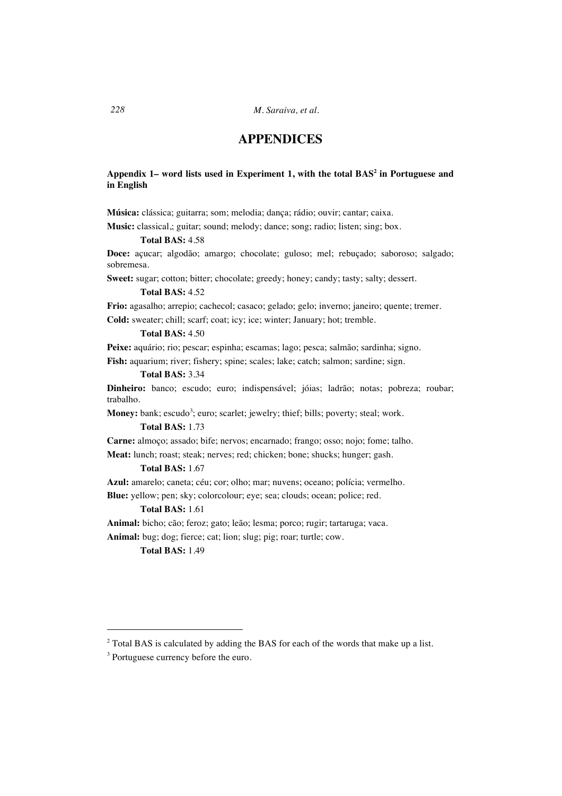*228 M. Saraiva, et al.*

# **APPENDICES**

# **Appendix 1– word lists used in Experiment 1, with the total BAS<sup>2</sup> in Portuguese and in English**

**Música:** clássica; guitarra; som; melodia; dança; rádio; ouvir; cantar; caixa.

**Music:** classical,; guitar; sound; melody; dance; song; radio; listen; sing; box.

# **Total BAS:** 4.58

**Doce:** açucar; algodão; amargo; chocolate; guloso; mel; rebuçado; saboroso; salgado; sobremesa.

**Sweet:** sugar; cotton; bitter; chocolate; greedy; honey; candy; tasty; salty; dessert.

### **Total BAS:** 4.52

**Frio:** agasalho; arrepio; cachecol; casaco; gelado; gelo; inverno; janeiro; quente; tremer. **Cold:** sweater; chill; scarf; coat; icy; ice; winter; January; hot; tremble.

#### **Total BAS:** 4.50

**Peixe:** aquário; rio; pescar; espinha; escamas; lago; pesca; salmão; sardinha; signo.

**Fish:** aquarium; river; fishery; spine; scales; lake; catch; salmon; sardine; sign.

## **Total BAS:** 3.34

**Dinheiro:** banco; escudo; euro; indispensável; jóias; ladrão; notas; pobreza; roubar; trabalho.

**Money:** bank; escudo<sup>3</sup>; euro; scarlet; jewelry; thief; bills; poverty; steal; work.

#### **Total BAS:** 1.73

**Carne:** almoço; assado; bife; nervos; encarnado; frango; osso; nojo; fome; talho.

**Meat:** lunch; roast; steak; nerves; red; chicken; bone; shucks; hunger; gash.

### **Total BAS:** 1.67

**Azul:** amarelo; caneta; céu; cor; olho; mar; nuvens; oceano; polícia; vermelho.

**Blue:** yellow; pen; sky; colorcolour; eye; sea; clouds; ocean; police; red.

### **Total BAS:** 1.61

**Animal:** bicho; cão; feroz; gato; leão; lesma; porco; rugir; tartaruga; vaca. **Animal:** bug; dog; fierce; cat; lion; slug; pig; roar; turtle; cow.

**Total BAS:** 1.49

 $\overline{a}$ 

<sup>&</sup>lt;sup>3</sup> Portuguese currency before the euro.